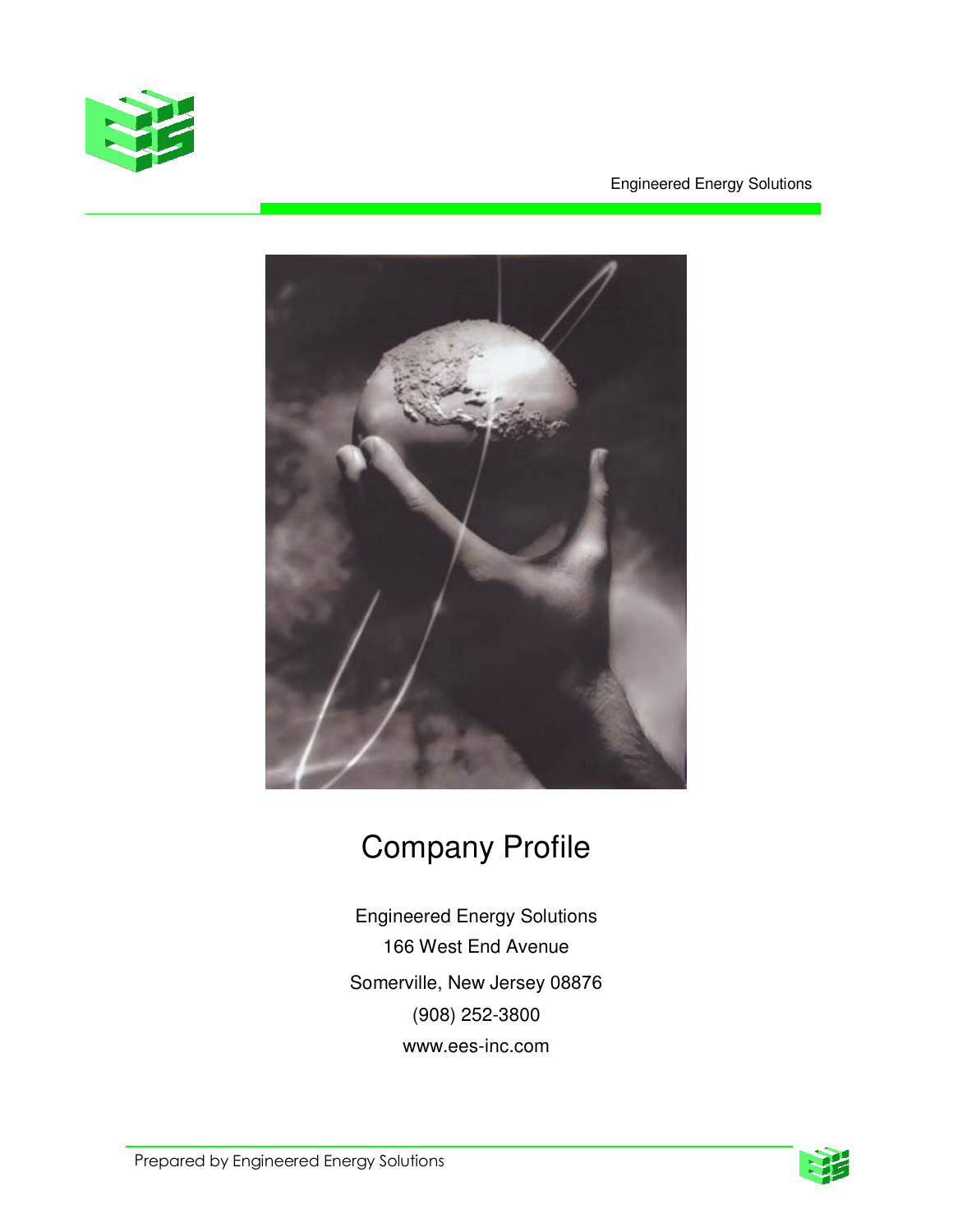

Engineered Energy Solutions



# Company Profile

Engineered Energy Solutions 166 West End Avenue Somerville, New Jersey 08876 (908) 252-3800 www.ees-inc.com

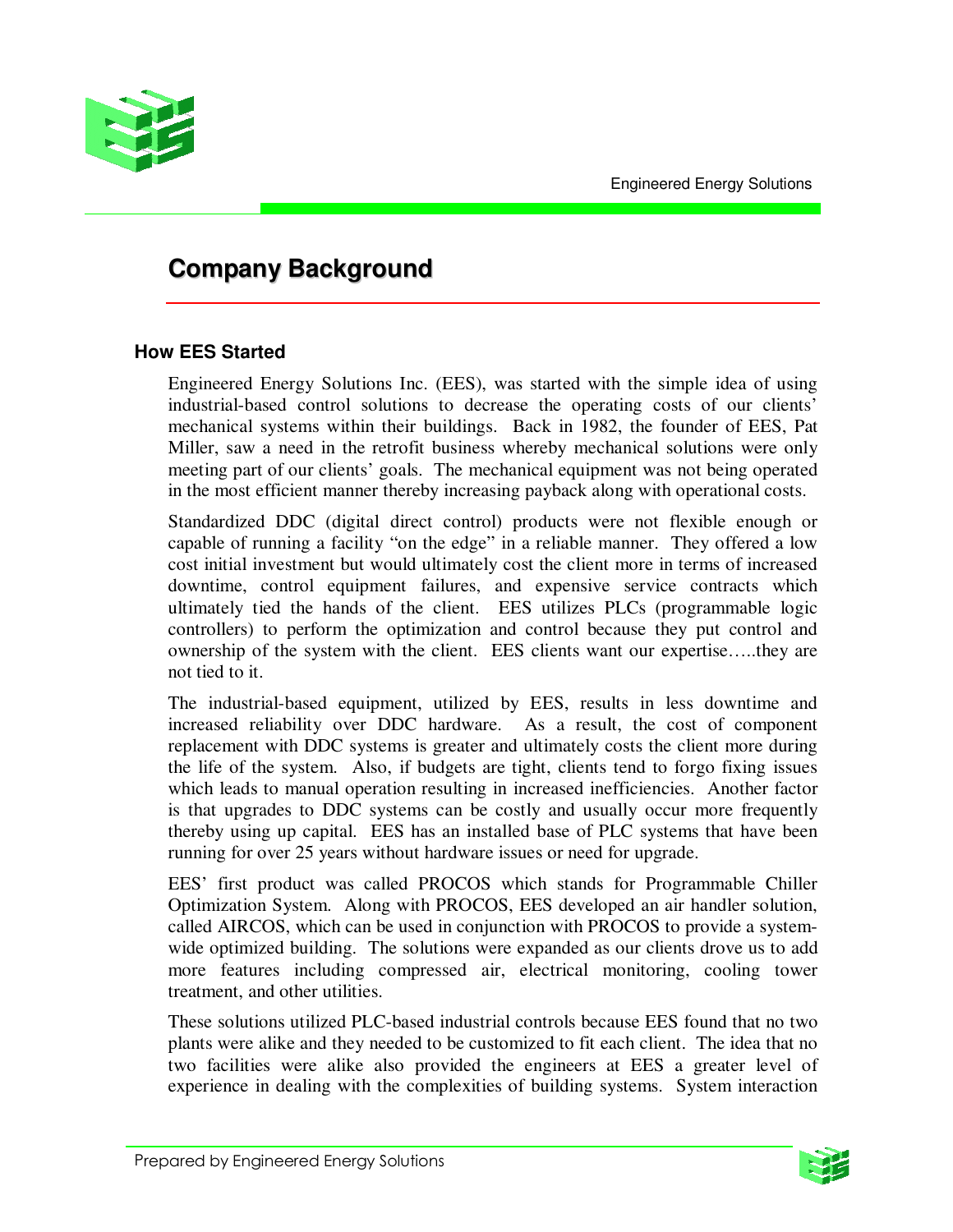

# **Company Background**

# **How EES Started**

Engineered Energy Solutions Inc. (EES), was started with the simple idea of using industrial-based control solutions to decrease the operating costs of our clients' mechanical systems within their buildings. Back in 1982, the founder of EES, Pat Miller, saw a need in the retrofit business whereby mechanical solutions were only meeting part of our clients' goals. The mechanical equipment was not being operated in the most efficient manner thereby increasing payback along with operational costs.

Standardized DDC (digital direct control) products were not flexible enough or capable of running a facility "on the edge" in a reliable manner. They offered a low cost initial investment but would ultimately cost the client more in terms of increased downtime, control equipment failures, and expensive service contracts which ultimately tied the hands of the client. EES utilizes PLCs (programmable logic controllers) to perform the optimization and control because they put control and ownership of the system with the client. EES clients want our expertise…..they are not tied to it.

The industrial-based equipment, utilized by EES, results in less downtime and increased reliability over DDC hardware. As a result, the cost of component replacement with DDC systems is greater and ultimately costs the client more during the life of the system. Also, if budgets are tight, clients tend to forgo fixing issues which leads to manual operation resulting in increased inefficiencies. Another factor is that upgrades to DDC systems can be costly and usually occur more frequently thereby using up capital. EES has an installed base of PLC systems that have been running for over 25 years without hardware issues or need for upgrade.

EES' first product was called PROCOS which stands for Programmable Chiller Optimization System. Along with PROCOS, EES developed an air handler solution, called AIRCOS, which can be used in conjunction with PROCOS to provide a systemwide optimized building. The solutions were expanded as our clients drove us to add more features including compressed air, electrical monitoring, cooling tower treatment, and other utilities.

These solutions utilized PLC-based industrial controls because EES found that no two plants were alike and they needed to be customized to fit each client. The idea that no two facilities were alike also provided the engineers at EES a greater level of experience in dealing with the complexities of building systems. System interaction

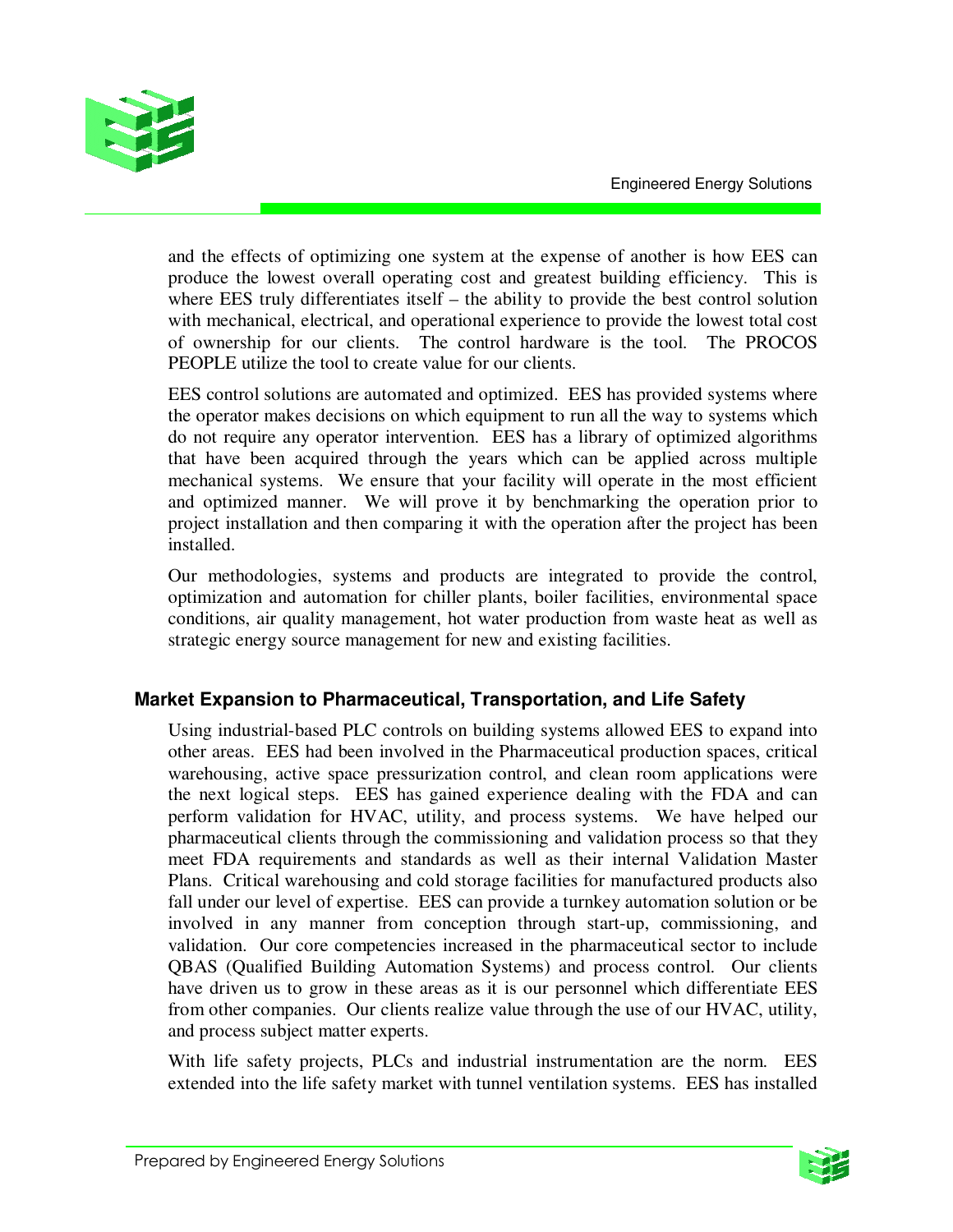

and the effects of optimizing one system at the expense of another is how EES can produce the lowest overall operating cost and greatest building efficiency. This is where EES truly differentiates itself – the ability to provide the best control solution with mechanical, electrical, and operational experience to provide the lowest total cost of ownership for our clients. The control hardware is the tool. The PROCOS PEOPLE utilize the tool to create value for our clients.

EES control solutions are automated and optimized. EES has provided systems where the operator makes decisions on which equipment to run all the way to systems which do not require any operator intervention. EES has a library of optimized algorithms that have been acquired through the years which can be applied across multiple mechanical systems. We ensure that your facility will operate in the most efficient and optimized manner. We will prove it by benchmarking the operation prior to project installation and then comparing it with the operation after the project has been installed.

Our methodologies, systems and products are integrated to provide the control, optimization and automation for chiller plants, boiler facilities, environmental space conditions, air quality management, hot water production from waste heat as well as strategic energy source management for new and existing facilities.

# **Market Expansion to Pharmaceutical, Transportation, and Life Safety**

Using industrial-based PLC controls on building systems allowed EES to expand into other areas. EES had been involved in the Pharmaceutical production spaces, critical warehousing, active space pressurization control, and clean room applications were the next logical steps. EES has gained experience dealing with the FDA and can perform validation for HVAC, utility, and process systems. We have helped our pharmaceutical clients through the commissioning and validation process so that they meet FDA requirements and standards as well as their internal Validation Master Plans. Critical warehousing and cold storage facilities for manufactured products also fall under our level of expertise. EES can provide a turnkey automation solution or be involved in any manner from conception through start-up, commissioning, and validation. Our core competencies increased in the pharmaceutical sector to include QBAS (Qualified Building Automation Systems) and process control. Our clients have driven us to grow in these areas as it is our personnel which differentiate EES from other companies. Our clients realize value through the use of our HVAC, utility, and process subject matter experts.

With life safety projects, PLCs and industrial instrumentation are the norm. EES extended into the life safety market with tunnel ventilation systems. EES has installed

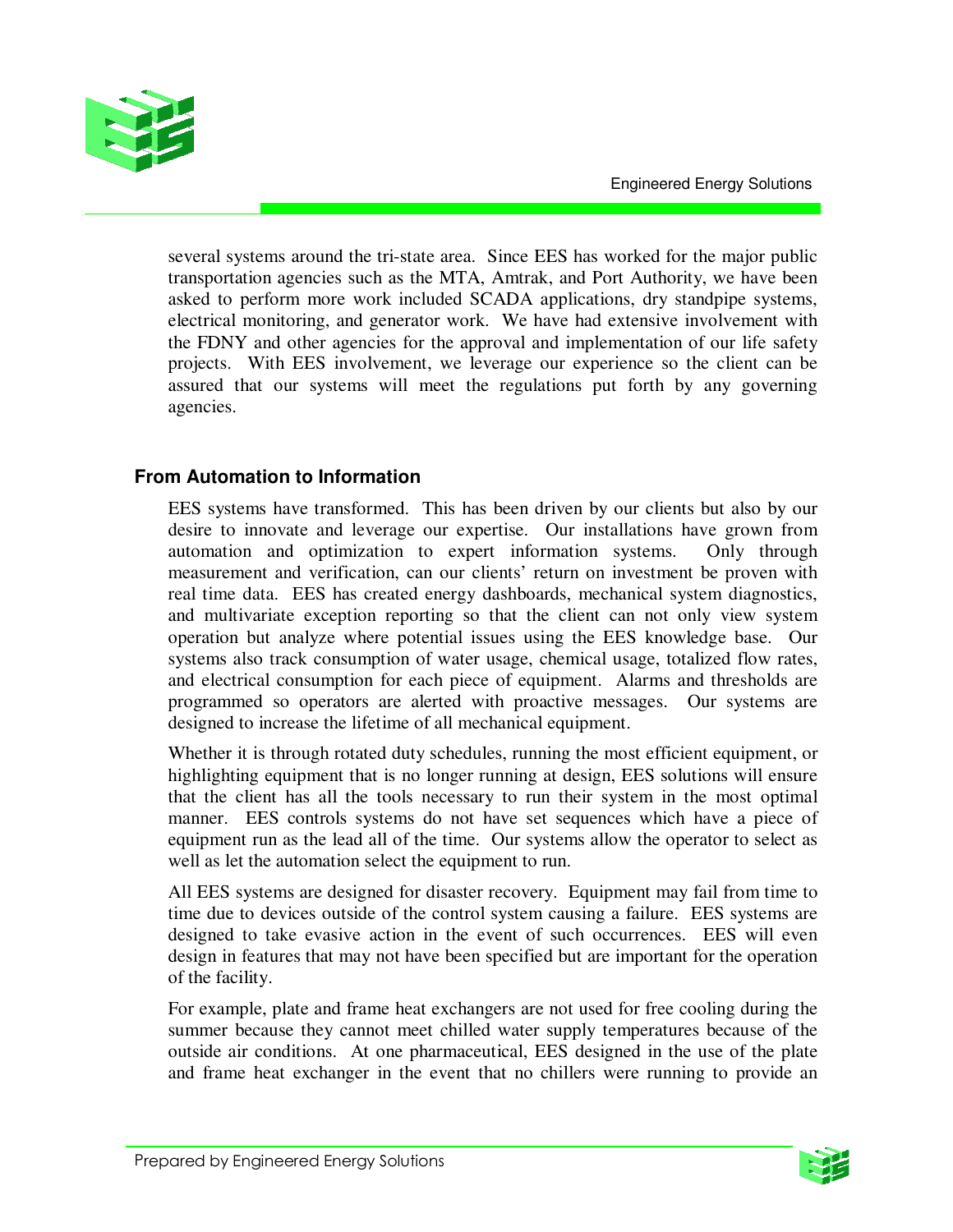

several systems around the tri-state area. Since EES has worked for the major public transportation agencies such as the MTA, Amtrak, and Port Authority, we have been asked to perform more work included SCADA applications, dry standpipe systems, electrical monitoring, and generator work. We have had extensive involvement with the FDNY and other agencies for the approval and implementation of our life safety projects. With EES involvement, we leverage our experience so the client can be assured that our systems will meet the regulations put forth by any governing agencies.

# **From Automation to Information**

EES systems have transformed. This has been driven by our clients but also by our desire to innovate and leverage our expertise. Our installations have grown from automation and optimization to expert information systems. Only through measurement and verification, can our clients' return on investment be proven with real time data. EES has created energy dashboards, mechanical system diagnostics, and multivariate exception reporting so that the client can not only view system operation but analyze where potential issues using the EES knowledge base. Our systems also track consumption of water usage, chemical usage, totalized flow rates, and electrical consumption for each piece of equipment. Alarms and thresholds are programmed so operators are alerted with proactive messages. Our systems are designed to increase the lifetime of all mechanical equipment.

Whether it is through rotated duty schedules, running the most efficient equipment, or highlighting equipment that is no longer running at design, EES solutions will ensure that the client has all the tools necessary to run their system in the most optimal manner. EES controls systems do not have set sequences which have a piece of equipment run as the lead all of the time. Our systems allow the operator to select as well as let the automation select the equipment to run.

All EES systems are designed for disaster recovery. Equipment may fail from time to time due to devices outside of the control system causing a failure. EES systems are designed to take evasive action in the event of such occurrences. EES will even design in features that may not have been specified but are important for the operation of the facility.

For example, plate and frame heat exchangers are not used for free cooling during the summer because they cannot meet chilled water supply temperatures because of the outside air conditions. At one pharmaceutical, EES designed in the use of the plate and frame heat exchanger in the event that no chillers were running to provide an

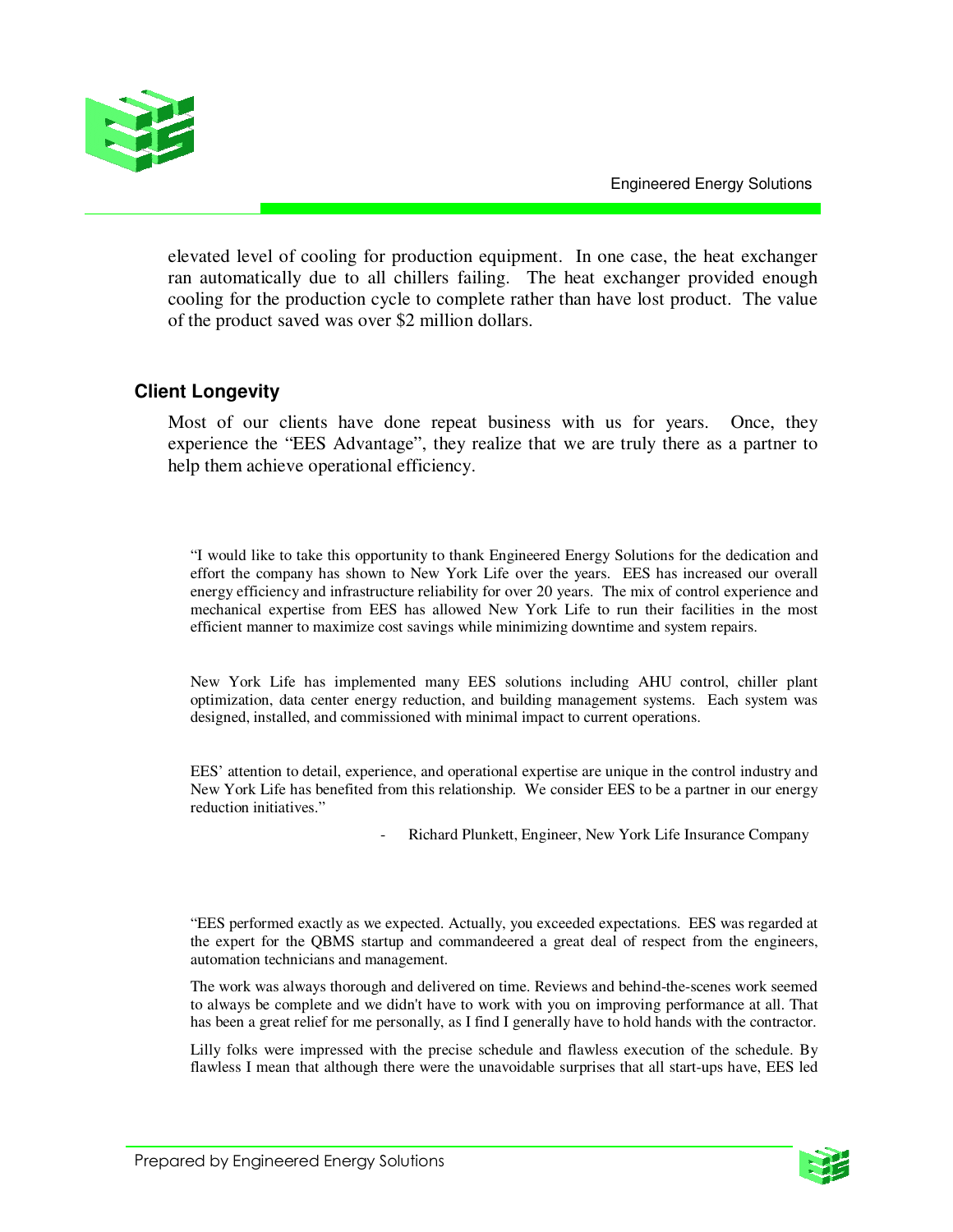

elevated level of cooling for production equipment. In one case, the heat exchanger ran automatically due to all chillers failing. The heat exchanger provided enough cooling for the production cycle to complete rather than have lost product. The value of the product saved was over \$2 million dollars.

#### **Client Longevity**

Most of our clients have done repeat business with us for years. Once, they experience the "EES Advantage", they realize that we are truly there as a partner to help them achieve operational efficiency.

"I would like to take this opportunity to thank Engineered Energy Solutions for the dedication and effort the company has shown to New York Life over the years. EES has increased our overall energy efficiency and infrastructure reliability for over 20 years. The mix of control experience and mechanical expertise from EES has allowed New York Life to run their facilities in the most efficient manner to maximize cost savings while minimizing downtime and system repairs.

New York Life has implemented many EES solutions including AHU control, chiller plant optimization, data center energy reduction, and building management systems. Each system was designed, installed, and commissioned with minimal impact to current operations.

EES' attention to detail, experience, and operational expertise are unique in the control industry and New York Life has benefited from this relationship. We consider EES to be a partner in our energy reduction initiatives."

Richard Plunkett, Engineer, New York Life Insurance Company

"EES performed exactly as we expected. Actually, you exceeded expectations. EES was regarded at the expert for the QBMS startup and commandeered a great deal of respect from the engineers, automation technicians and management.

The work was always thorough and delivered on time. Reviews and behind-the-scenes work seemed to always be complete and we didn't have to work with you on improving performance at all. That has been a great relief for me personally, as I find I generally have to hold hands with the contractor.

Lilly folks were impressed with the precise schedule and flawless execution of the schedule. By flawless I mean that although there were the unavoidable surprises that all start-ups have, EES led

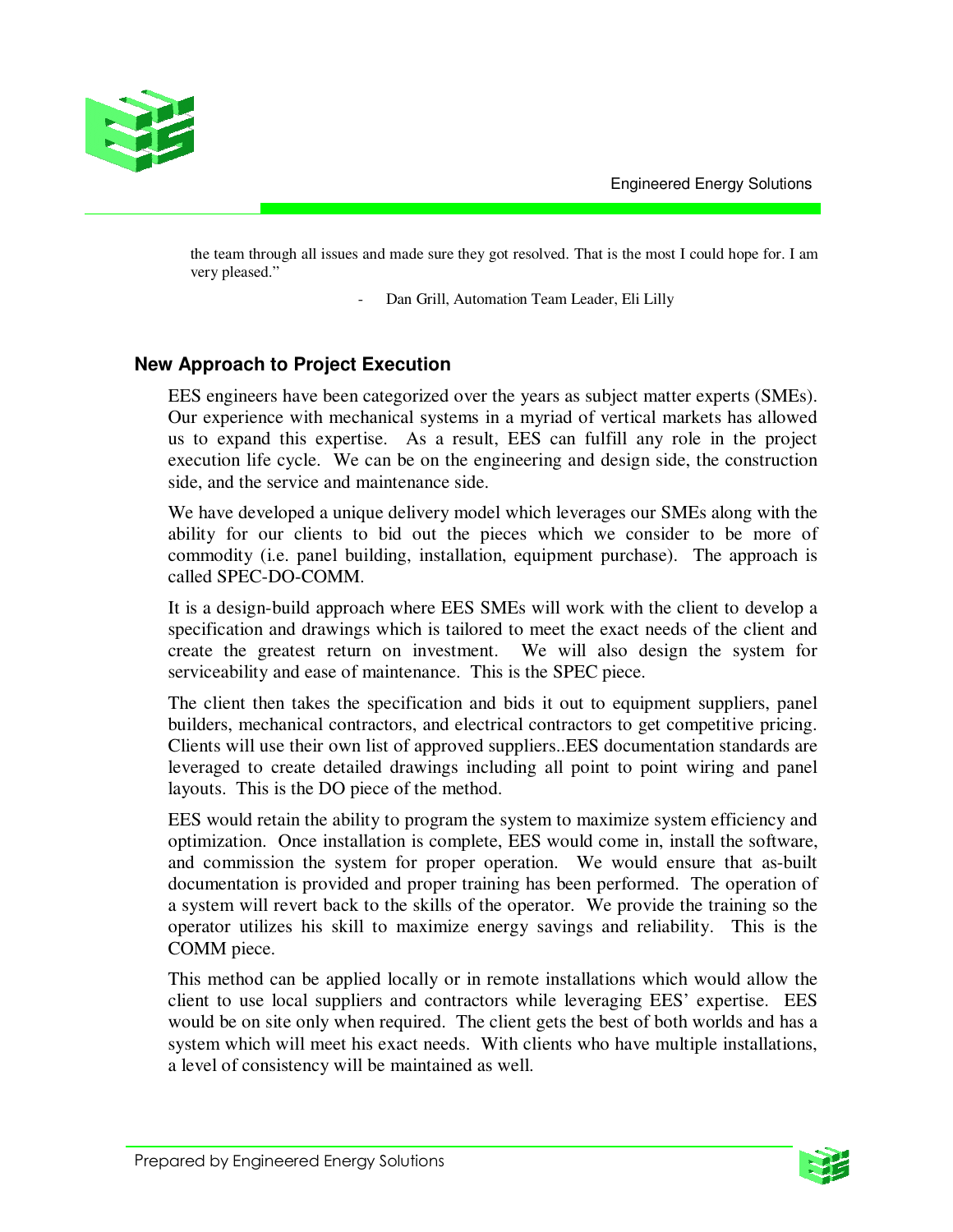

the team through all issues and made sure they got resolved. That is the most I could hope for. I am very pleased."

Dan Grill, Automation Team Leader, Eli Lilly

# **New Approach to Project Execution**

EES engineers have been categorized over the years as subject matter experts (SMEs). Our experience with mechanical systems in a myriad of vertical markets has allowed us to expand this expertise. As a result, EES can fulfill any role in the project execution life cycle. We can be on the engineering and design side, the construction side, and the service and maintenance side.

We have developed a unique delivery model which leverages our SMEs along with the ability for our clients to bid out the pieces which we consider to be more of commodity (i.e. panel building, installation, equipment purchase). The approach is called SPEC-DO-COMM.

It is a design-build approach where EES SMEs will work with the client to develop a specification and drawings which is tailored to meet the exact needs of the client and create the greatest return on investment. We will also design the system for serviceability and ease of maintenance. This is the SPEC piece.

The client then takes the specification and bids it out to equipment suppliers, panel builders, mechanical contractors, and electrical contractors to get competitive pricing. Clients will use their own list of approved suppliers..EES documentation standards are leveraged to create detailed drawings including all point to point wiring and panel layouts. This is the DO piece of the method.

EES would retain the ability to program the system to maximize system efficiency and optimization. Once installation is complete, EES would come in, install the software, and commission the system for proper operation. We would ensure that as-built documentation is provided and proper training has been performed. The operation of a system will revert back to the skills of the operator. We provide the training so the operator utilizes his skill to maximize energy savings and reliability. This is the COMM piece.

This method can be applied locally or in remote installations which would allow the client to use local suppliers and contractors while leveraging EES' expertise. EES would be on site only when required. The client gets the best of both worlds and has a system which will meet his exact needs. With clients who have multiple installations, a level of consistency will be maintained as well.

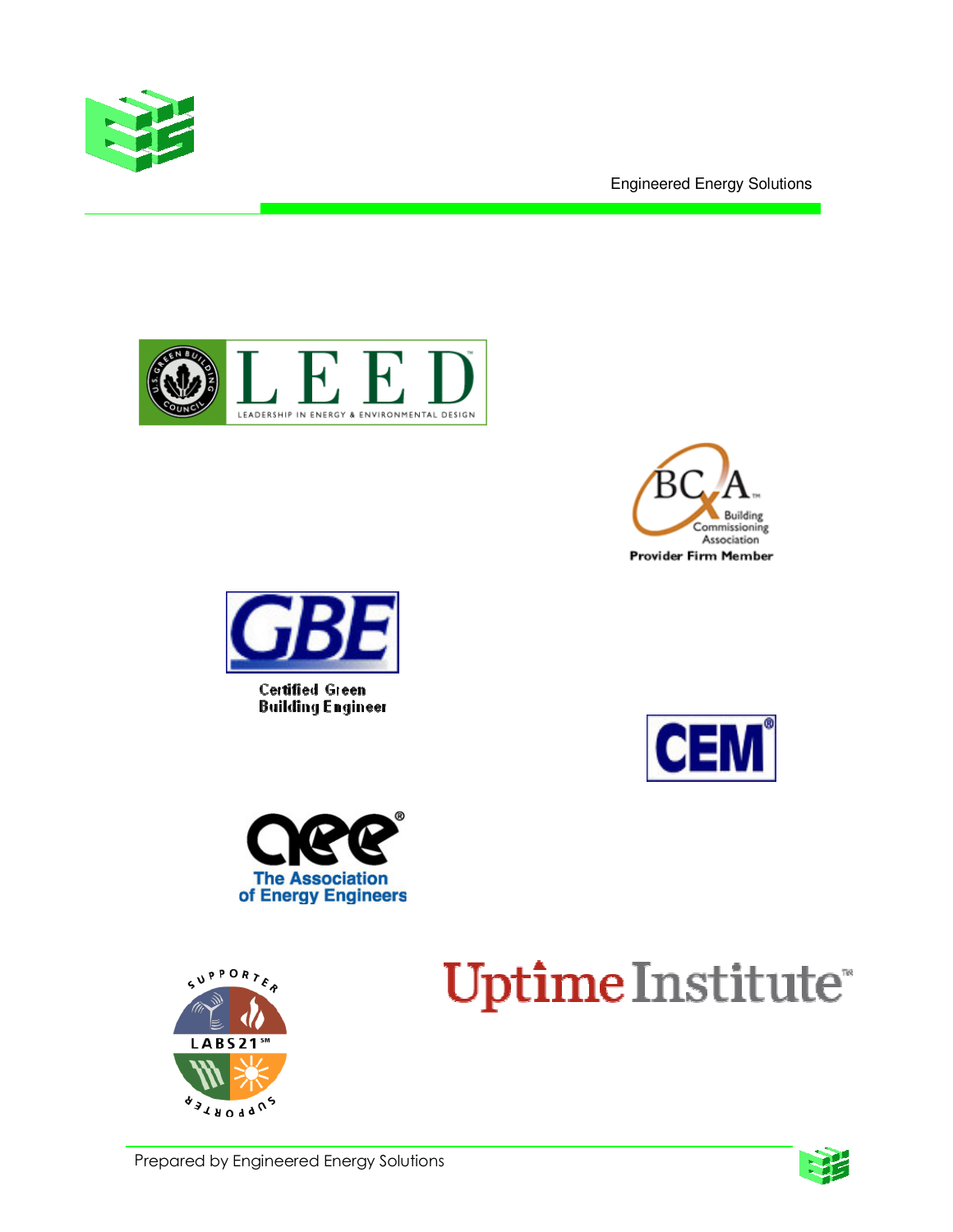

Engineered Energy Solutions







Certified Green **Building Engineer** 







Uptime Institute®